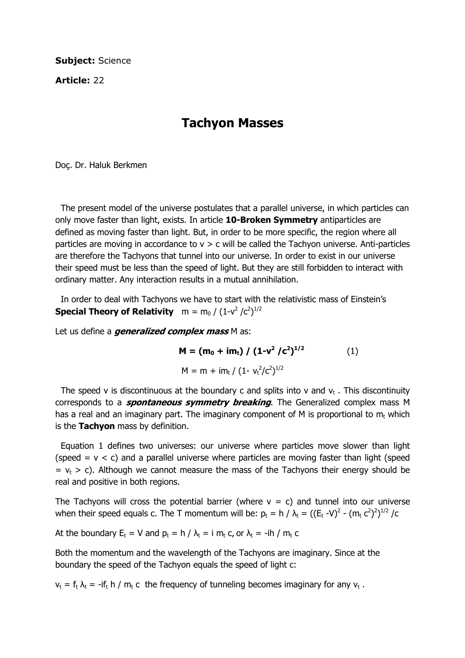Subject: Science

Article: 22

## Tachyon Masses

Doç. Dr. Haluk Berkmen

 The present model of the universe postulates that a parallel universe, in which particles can only move faster than light, exists. In article 10-Broken Symmetry antiparticles are defined as moving faster than light. But, in order to be more specific, the region where all particles are moving in accordance to  $v > c$  will be called the Tachyon universe. Anti-particles are therefore the Tachyons that tunnel into our universe. In order to exist in our universe their speed must be less than the speed of light. But they are still forbidden to interact with ordinary matter. Any interaction results in a mutual annihilation.

 In order to deal with Tachyons we have to start with the relativistic mass of Einstein's Special Theory of Relativity  $m = m_0 / (1-v^2/c^2)^{1/2}$ 

Let us define a *generalized complex mass*  $M$  as:

$$
\mathbf{M} = (\mathbf{m}_0 + \mathbf{i}\mathbf{m}_t) / (1 - v^2 / c^2)^{1/2}
$$
 (1)  

$$
M = m + i m_t / (1 - v_t^2 / c^2)^{1/2}
$$

The speed v is discontinuous at the boundary c and splits into v and  $v_t$ . This discontinuity corresponds to a *spontaneous symmetry breaking*. The Generalized complex mass M has a real and an imaginary part. The imaginary component of M is proportional to  $m_t$  which is the Tachyon mass by definition.

 Equation 1 defines two universes: our universe where particles move slower than light (speed  $= v < c$ ) and a parallel universe where particles are moving faster than light (speed  $= v_t > c$ ). Although we cannot measure the mass of the Tachyons their energy should be real and positive in both regions.

The Tachyons will cross the potential barrier (where  $v = c$ ) and tunnel into our universe when their speed equals c. The T momentum will be:  $p_t = h / \lambda_t = ((E_t - V)^2 - (m_t c^2)^2)^{1/2} / c$ 

At the boundary  $E_t = V$  and  $p_t = h / \lambda_t = i m_t c$ , or  $\lambda_t = -ih / m_t c$ 

Both the momentum and the wavelength of the Tachyons are imaginary. Since at the boundary the speed of the Tachyon equals the speed of light c:

 $v_t = f_t \lambda_t = -if_t \ln / m_t c$  the frequency of tunneling becomes imaginary for any  $v_t$ .